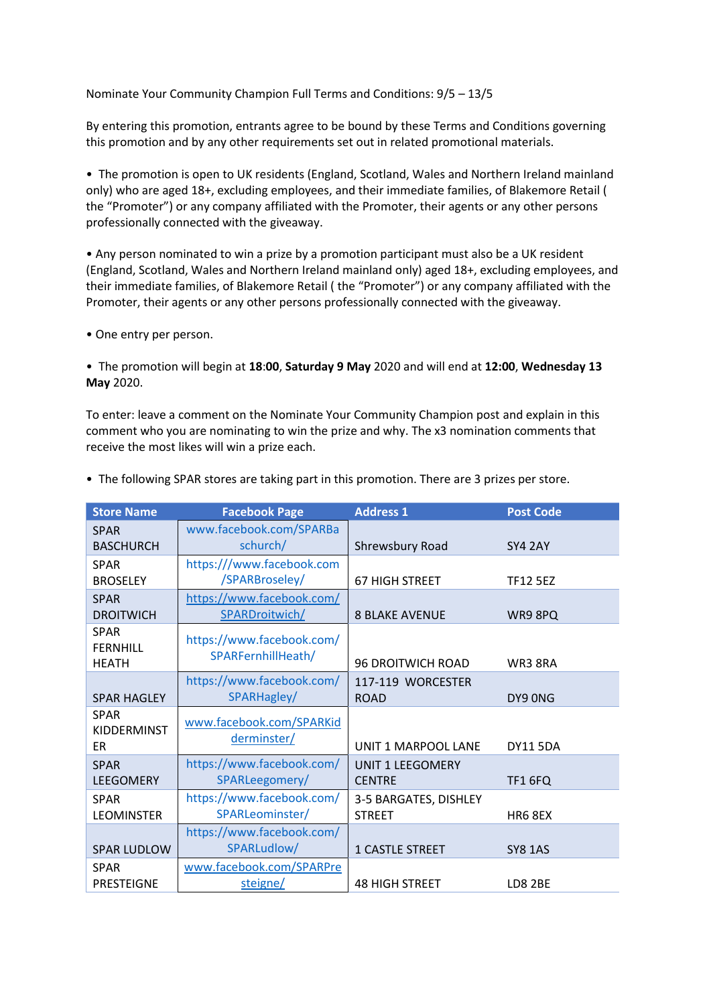Nominate Your Community Champion Full Terms and Conditions: 9/5 – 13/5

By entering this promotion, entrants agree to be bound by these Terms and Conditions governing this promotion and by any other requirements set out in related promotional materials.

• The promotion is open to UK residents (England, Scotland, Wales and Northern Ireland mainland only) who are aged 18+, excluding employees, and their immediate families, of Blakemore Retail ( the "Promoter") or any company affiliated with the Promoter, their agents or any other persons professionally connected with the giveaway.

• Any person nominated to win a prize by a promotion participant must also be a UK resident (England, Scotland, Wales and Northern Ireland mainland only) aged 18+, excluding employees, and their immediate families, of Blakemore Retail ( the "Promoter") or any company affiliated with the Promoter, their agents or any other persons professionally connected with the giveaway.

• One entry per person.

• The promotion will begin at **18**:**00**, **Saturday 9 May** 2020 and will end at **12:00**, **Wednesday 13 May** 2020.

To enter: leave a comment on the Nominate Your Community Champion post and explain in this comment who you are nominating to win the prize and why. The x3 nomination comments that receive the most likes will win a prize each.

| <b>Store Name</b>  | <b>Facebook Page</b>      | <b>Address 1</b>         | <b>Post Code</b> |
|--------------------|---------------------------|--------------------------|------------------|
| <b>SPAR</b>        | www.facebook.com/SPARBa   |                          |                  |
| <b>BASCHURCH</b>   | schurch/                  | Shrewsbury Road          | <b>SY4 2AY</b>   |
| <b>SPAR</b>        | https:///www.facebook.com |                          |                  |
| <b>BROSELEY</b>    | /SPARBroseley/            | <b>67 HIGH STREET</b>    | <b>TF12 5EZ</b>  |
| <b>SPAR</b>        | https://www.facebook.com/ |                          |                  |
| <b>DROITWICH</b>   | SPARDroitwich/            | <b>8 BLAKE AVENUE</b>    | WR9 8PQ          |
| <b>SPAR</b>        | https://www.facebook.com/ |                          |                  |
| <b>FERNHILL</b>    |                           |                          |                  |
| <b>HEATH</b>       | SPARFernhillHeath/        | <b>96 DROITWICH ROAD</b> | WR3 8RA          |
|                    | https://www.facebook.com/ | 117-119 WORCESTER        |                  |
| <b>SPAR HAGLEY</b> | SPARHagley/               | <b>ROAD</b>              | DY9 ONG          |
| <b>SPAR</b>        |                           |                          |                  |
| <b>KIDDERMINST</b> | www.facebook.com/SPARKid  |                          |                  |
| ER                 | derminster/               | UNIT 1 MARPOOL LANE      | <b>DY11 5DA</b>  |
| <b>SPAR</b>        | https://www.facebook.com/ | <b>UNIT 1 LEEGOMERY</b>  |                  |
| <b>LEEGOMERY</b>   | SPARLeegomery/            | <b>CENTRE</b>            | <b>TF1 6FQ</b>   |
| <b>SPAR</b>        | https://www.facebook.com/ | 3-5 BARGATES, DISHLEY    |                  |
| <b>LEOMINSTER</b>  | SPARLeominster/           | <b>STREET</b>            | HR6 8EX          |
|                    | https://www.facebook.com/ |                          |                  |
| <b>SPAR LUDLOW</b> | SPARLudlow/               | 1 CASTLE STREET          | <b>SY8 1AS</b>   |
| <b>SPAR</b>        | www.facebook.com/SPARPre  |                          |                  |
| <b>PRESTEIGNE</b>  | steigne/                  | <b>48 HIGH STREET</b>    | <b>LD8 2BE</b>   |

• The following SPAR stores are taking part in this promotion. There are 3 prizes per store.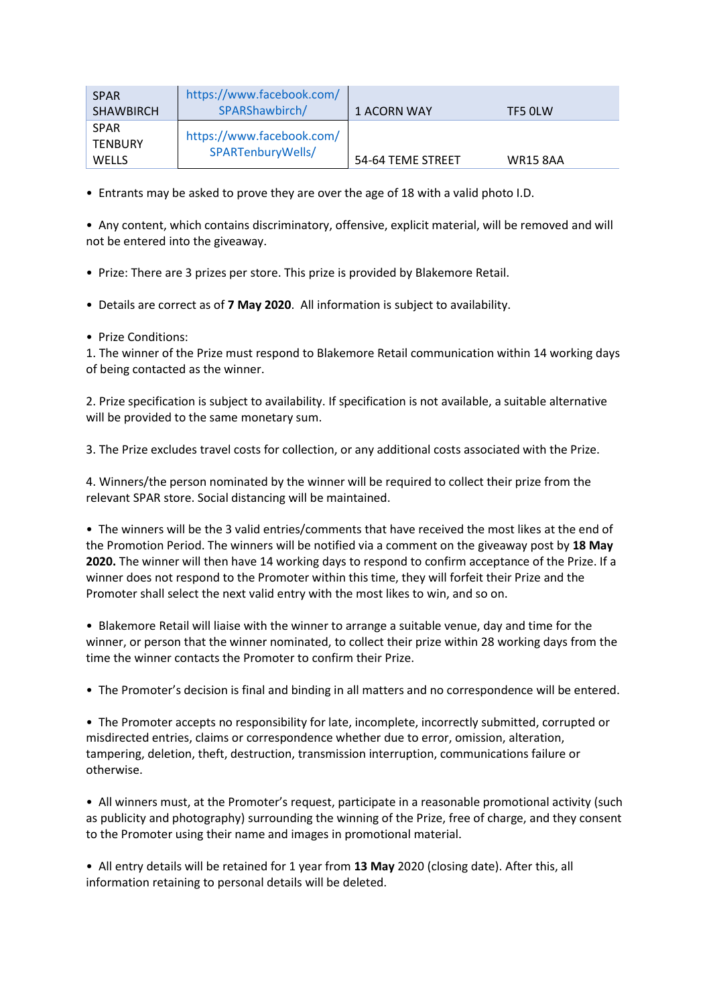| <b>SPAR</b><br><b>SHAWBIRCH</b>        | https://www.facebook.com/<br>SPARShawbirch/    | 1 ACORN WAY       | TF5 OLW         |
|----------------------------------------|------------------------------------------------|-------------------|-----------------|
| <b>SPAR</b><br><b>TENBURY</b><br>WELLS | https://www.facebook.com/<br>SPARTenburyWells/ | 54-64 TEME STREET | <b>WR15 8AA</b> |

• Entrants may be asked to prove they are over the age of 18 with a valid photo I.D.

• Any content, which contains discriminatory, offensive, explicit material, will be removed and will not be entered into the giveaway.

- Prize: There are 3 prizes per store. This prize is provided by Blakemore Retail.
- Details are correct as of **7 May 2020**. All information is subject to availability.
- Prize Conditions:

1. The winner of the Prize must respond to Blakemore Retail communication within 14 working days of being contacted as the winner.

2. Prize specification is subject to availability. If specification is not available, a suitable alternative will be provided to the same monetary sum.

3. The Prize excludes travel costs for collection, or any additional costs associated with the Prize.

4. Winners/the person nominated by the winner will be required to collect their prize from the relevant SPAR store. Social distancing will be maintained.

• The winners will be the 3 valid entries/comments that have received the most likes at the end of the Promotion Period. The winners will be notified via a comment on the giveaway post by **18 May 2020.** The winner will then have 14 working days to respond to confirm acceptance of the Prize. If a winner does not respond to the Promoter within this time, they will forfeit their Prize and the Promoter shall select the next valid entry with the most likes to win, and so on.

• Blakemore Retail will liaise with the winner to arrange a suitable venue, day and time for the winner, or person that the winner nominated, to collect their prize within 28 working days from the time the winner contacts the Promoter to confirm their Prize.

• The Promoter's decision is final and binding in all matters and no correspondence will be entered.

• The Promoter accepts no responsibility for late, incomplete, incorrectly submitted, corrupted or misdirected entries, claims or correspondence whether due to error, omission, alteration, tampering, deletion, theft, destruction, transmission interruption, communications failure or otherwise.

• All winners must, at the Promoter's request, participate in a reasonable promotional activity (such as publicity and photography) surrounding the winning of the Prize, free of charge, and they consent to the Promoter using their name and images in promotional material.

• All entry details will be retained for 1 year from **13 May** 2020 (closing date). After this, all information retaining to personal details will be deleted.